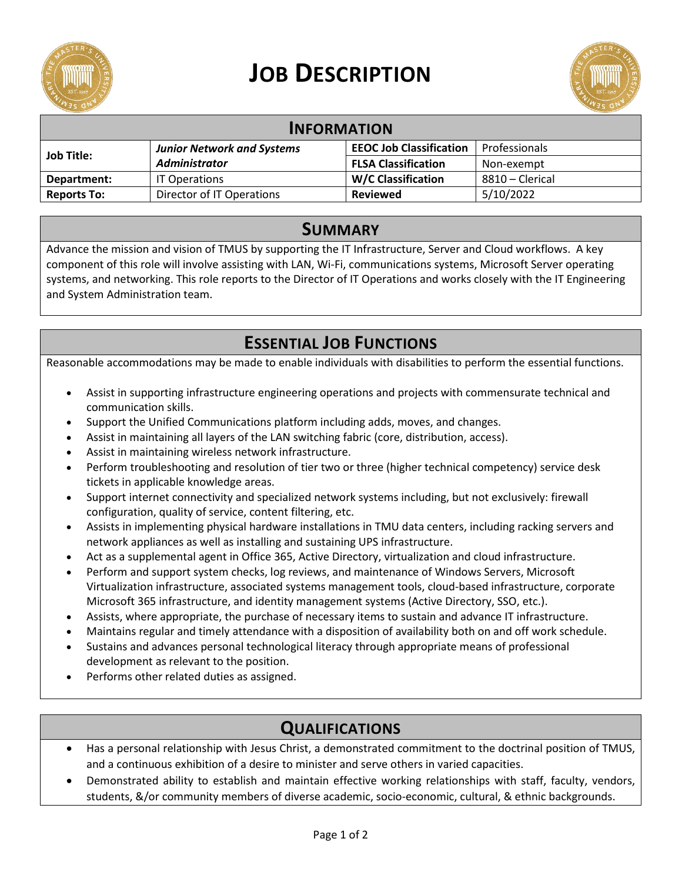

# **JOB DESCRIPTION**



| <b>INFORMATION</b> |                                   |                                |                 |
|--------------------|-----------------------------------|--------------------------------|-----------------|
| <b>Job Title:</b>  | <b>Junior Network and Systems</b> | <b>EEOC Job Classification</b> | Professionals   |
|                    | <b>Administrator</b>              | <b>FLSA Classification</b>     | Non-exempt      |
| Department:        | <b>IT Operations</b>              | <b>W/C Classification</b>      | 8810 - Clerical |
| <b>Reports To:</b> | Director of IT Operations         | <b>Reviewed</b>                | 5/10/2022       |

#### **SUMMARY**

Advance the mission and vision of TMUS by supporting the IT Infrastructure, Server and Cloud workflows. A key component of this role will involve assisting with LAN, Wi-Fi, communications systems, Microsoft Server operating systems, and networking. This role reports to the Director of IT Operations and works closely with the IT Engineering and System Administration team.

## **ESSENTIAL JOB FUNCTIONS**

Reasonable accommodations may be made to enable individuals with disabilities to perform the essential functions.

- Assist in supporting infrastructure engineering operations and projects with commensurate technical and communication skills.
- Support the Unified Communications platform including adds, moves, and changes.
- Assist in maintaining all layers of the LAN switching fabric (core, distribution, access).
- Assist in maintaining wireless network infrastructure.
- Perform troubleshooting and resolution of tier two or three (higher technical competency) service desk tickets in applicable knowledge areas.
- Support internet connectivity and specialized network systems including, but not exclusively: firewall configuration, quality of service, content filtering, etc.
- Assists in implementing physical hardware installations in TMU data centers, including racking servers and network appliances as well as installing and sustaining UPS infrastructure.
- Act as a supplemental agent in Office 365, Active Directory, virtualization and cloud infrastructure.
- Perform and support system checks, log reviews, and maintenance of Windows Servers, Microsoft Virtualization infrastructure, associated systems management tools, cloud-based infrastructure, corporate Microsoft 365 infrastructure, and identity management systems (Active Directory, SSO, etc.).
- Assists, where appropriate, the purchase of necessary items to sustain and advance IT infrastructure.
- Maintains regular and timely attendance with a disposition of availability both on and off work schedule.
- Sustains and advances personal technological literacy through appropriate means of professional development as relevant to the position.
- Performs other related duties as assigned.

## **QUALIFICATIONS**

- Has a personal relationship with Jesus Christ, a demonstrated commitment to the doctrinal position of TMUS, and a continuous exhibition of a desire to minister and serve others in varied capacities.
- Demonstrated ability to establish and maintain effective working relationships with staff, faculty, vendors, students, &/or community members of diverse academic, socio-economic, cultural, & ethnic backgrounds.